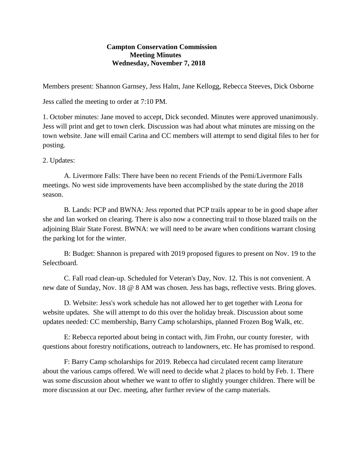## **Campton Conservation Commission Meeting Minutes Wednesday, November 7, 2018**

Members present: Shannon Garnsey, Jess Halm, Jane Kellogg, Rebecca Steeves, Dick Osborne

Jess called the meeting to order at 7:10 PM.

1. October minutes: Jane moved to accept, Dick seconded. Minutes were approved unanimously. Jess will print and get to town clerk. Discussion was had about what minutes are missing on the town website. Jane will email Carina and CC members will attempt to send digital files to her for posting.

2. Updates:

A. Livermore Falls: There have been no recent Friends of the Pemi/Livermore Falls meetings. No west side improvements have been accomplished by the state during the 2018 season.

B. Lands: PCP and BWNA: Jess reported that PCP trails appear to be in good shape after she and Ian worked on clearing. There is also now a connecting trail to those blazed trails on the adjoining Blair State Forest. BWNA: we will need to be aware when conditions warrant closing the parking lot for the winter.

B: Budget: Shannon is prepared with 2019 proposed figures to present on Nov. 19 to the Selectboard.

C. Fall road clean-up. Scheduled for Veteran's Day, Nov. 12. This is not convenient. A new date of Sunday, Nov. 18 @ 8 AM was chosen. Jess has bags, reflective vests. Bring gloves.

D. Website: Jess's work schedule has not allowed her to get together with Leona for website updates. She will attempt to do this over the holiday break. Discussion about some updates needed: CC membership, Barry Camp scholarships, planned Frozen Bog Walk, etc.

E: Rebecca reported about being in contact with, Jim Frohn, our county forester, with questions about forestry notifications, outreach to landowners, etc. He has promised to respond.

F: Barry Camp scholarships for 2019. Rebecca had circulated recent camp literature about the various camps offered. We will need to decide what 2 places to hold by Feb. 1. There was some discussion about whether we want to offer to slightly younger children. There will be more discussion at our Dec. meeting, after further review of the camp materials.